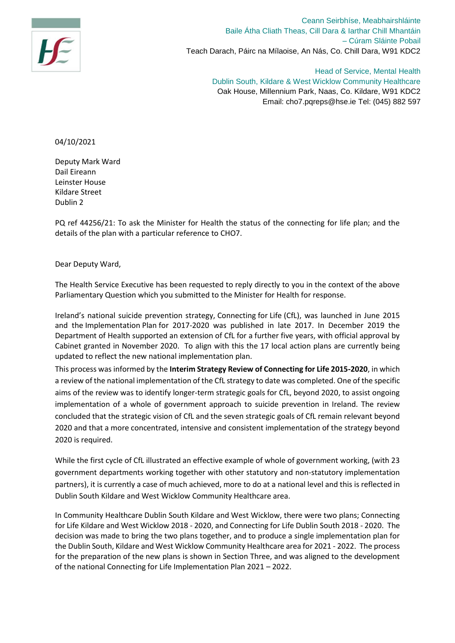

Ceann Seirbhíse, Meabhairshláinte Baile Átha Cliath Theas, Cill Dara & Iarthar Chill Mhantáin – Cúram Sláinte Pobail Teach Darach, Páirc na Mílaoise, An Nás, Co. Chill Dara, W91 KDC2

> Head of Service, Mental Health Dublin South, Kildare & West Wicklow Community Healthcare Oak House, Millennium Park, Naas, Co. Kildare, W91 KDC2 Email: cho7.pqreps@hse.ie Tel: (045) 882 597

04/10/2021

Deputy Mark Ward Dail Eireann Leinster House Kildare Street Dublin 2

PQ ref 44256/21: To ask the Minister for Health the status of the connecting for life plan; and the details of the plan with a particular reference to CHO7.

Dear Deputy Ward,

The Health Service Executive has been requested to reply directly to you in the context of the above Parliamentary Question which you submitted to the Minister for Health for response.

Ireland's national suicide prevention strategy, Connecting for Life (CfL), was launched in June 2015 and the Implementation Plan for 2017-2020 was published in late 2017. In December 2019 the Department of Health supported an extension of CfL for a further five years, with official approval by Cabinet granted in November 2020. To align with this the 17 local action plans are currently being updated to reflect the new national implementation plan.

This process was informed by the **Interim Strategy Review of Connecting for Life 2015-2020**, in which a review of the national implementation of the CfL strategy to date was completed. One of the specific aims of the review was to identify longer-term strategic goals for CfL, beyond 2020, to assist ongoing implementation of a whole of government approach to suicide prevention in Ireland. The review concluded that the strategic vision of CfL and the seven strategic goals of CfL remain relevant beyond 2020 and that a more concentrated, intensive and consistent implementation of the strategy beyond 2020 is required.

While the first cycle of CfL illustrated an effective example of whole of government working, (with 23 government departments working together with other statutory and non-statutory implementation partners), it is currently a case of much achieved, more to do at a national level and this is reflected in Dublin South Kildare and West Wicklow Community Healthcare area.

In Community Healthcare Dublin South Kildare and West Wicklow, there were two plans; Connecting for Life Kildare and West Wicklow 2018 - 2020, and Connecting for Life Dublin South 2018 - 2020. The decision was made to bring the two plans together, and to produce a single implementation plan for the Dublin South, Kildare and West Wicklow Community Healthcare area for 2021 - 2022. The process for the preparation of the new plans is shown in Section Three, and was aligned to the development of the national Connecting for Life Implementation Plan 2021 – 2022.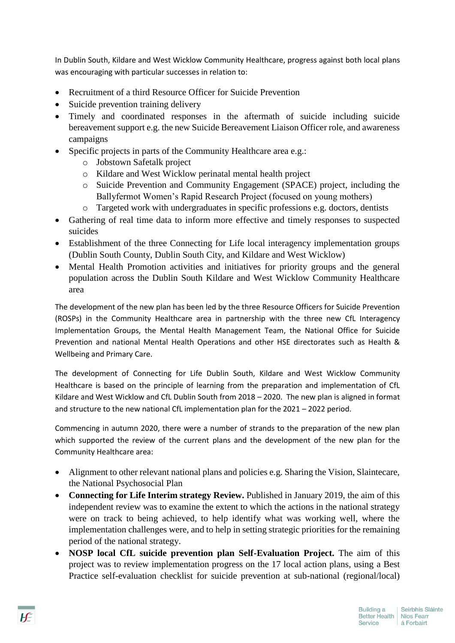In Dublin South, Kildare and West Wicklow Community Healthcare, progress against both local plans was encouraging with particular successes in relation to:

- Recruitment of a third Resource Officer for Suicide Prevention
- Suicide prevention training delivery
- Timely and coordinated responses in the aftermath of suicide including suicide bereavement support e.g. the new Suicide Bereavement Liaison Officer role, and awareness campaigns
- Specific projects in parts of the Community Healthcare area e.g.:
	- o Jobstown Safetalk project
	- o Kildare and West Wicklow perinatal mental health project
	- o Suicide Prevention and Community Engagement (SPACE) project, including the Ballyfermot Women's Rapid Research Project (focused on young mothers)
	- o Targeted work with undergraduates in specific professions e.g. doctors, dentists
- Gathering of real time data to inform more effective and timely responses to suspected suicides
- Establishment of the three Connecting for Life local interagency implementation groups (Dublin South County, Dublin South City, and Kildare and West Wicklow)
- Mental Health Promotion activities and initiatives for priority groups and the general population across the Dublin South Kildare and West Wicklow Community Healthcare area

The development of the new plan has been led by the three Resource Officers for Suicide Prevention (ROSPs) in the Community Healthcare area in partnership with the three new CfL Interagency Implementation Groups, the Mental Health Management Team, the National Office for Suicide Prevention and national Mental Health Operations and other HSE directorates such as Health & Wellbeing and Primary Care.

The development of Connecting for Life Dublin South, Kildare and West Wicklow Community Healthcare is based on the principle of learning from the preparation and implementation of CfL Kildare and West Wicklow and CfL Dublin South from 2018 – 2020. The new plan is aligned in format and structure to the new national CfL implementation plan for the 2021 – 2022 period.

Commencing in autumn 2020, there were a number of strands to the preparation of the new plan which supported the review of the current plans and the development of the new plan for the Community Healthcare area:

- Alignment to other relevant national plans and policies e.g. Sharing the Vision, Slaintecare, the National Psychosocial Plan
- **Connecting for Life Interim strategy Review.** Published in January 2019, the aim of this independent review was to examine the extent to which the actions in the national strategy were on track to being achieved, to help identify what was working well, where the implementation challenges were, and to help in setting strategic priorities for the remaining period of the national strategy.
- **NOSP local CfL suicide prevention plan Self-Evaluation Project.** The aim of this project was to review implementation progress on the 17 local action plans, using a Best Practice self-evaluation checklist for suicide prevention at sub-national (regional/local)